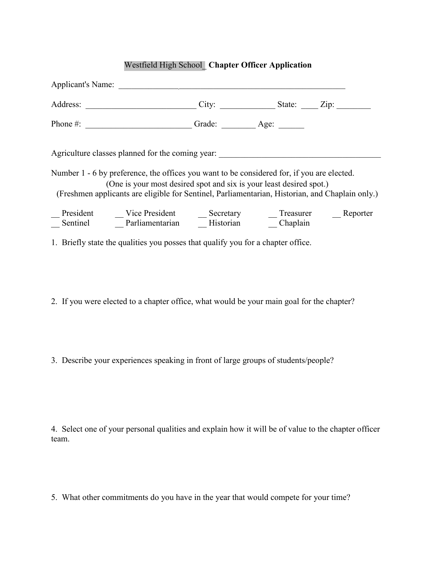## Westfield High School\_ **Chapter Officer Application**

|  | Applicant's Name:                                                                                                                                                 |  |                                                                                                 |
|--|-------------------------------------------------------------------------------------------------------------------------------------------------------------------|--|-------------------------------------------------------------------------------------------------|
|  |                                                                                                                                                                   |  | City: $\_\_\_\_\_\_$ State: $\_\_\_\_$ Zip:                                                     |
|  |                                                                                                                                                                   |  |                                                                                                 |
|  | Agriculture classes planned for the coming year:                                                                                                                  |  |                                                                                                 |
|  | Number 1 - 6 by preference, the offices you want to be considered for, if you are elected.<br>(One is your most desired spot and six is your least desired spot.) |  | (Freshmen applicants are eligible for Sentinel, Parliamentarian, Historian, and Chaplain only.) |
|  | President Vice President Becretary Treasurer Beporter<br>Sentinel Darliamentarian Bistorian Becretary Denglain<br>Chaplain                                        |  |                                                                                                 |
|  | 1. Briefly state the qualities you posses that qualify you for a chapter office.                                                                                  |  |                                                                                                 |

2. If you were elected to a chapter office, what would be your main goal for the chapter?

3. Describe your experiences speaking in front of large groups of students/people?

4. Select one of your personal qualities and explain how it will be of value to the chapter officer team.

5. What other commitments do you have in the year that would compete for your time?